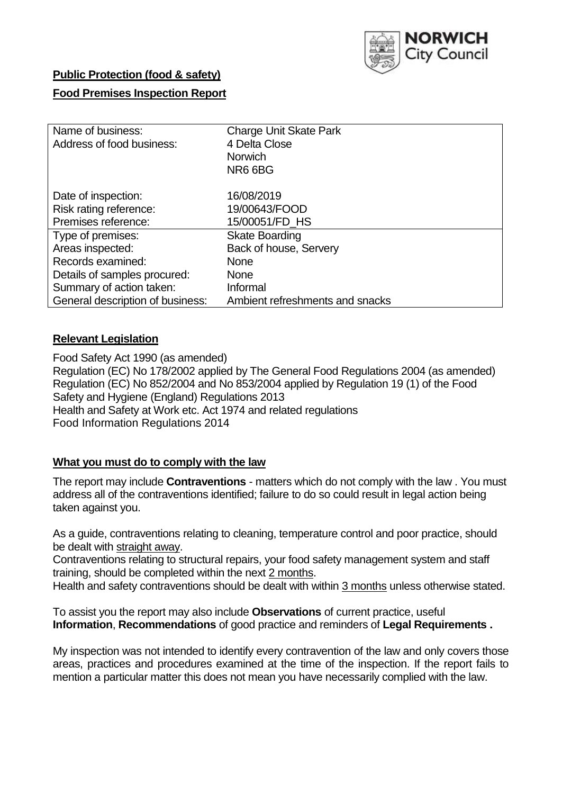

# **Public Protection (food & safety)**

## **Food Premises Inspection Report**

| Name of business:<br>Address of food business: | <b>Charge Unit Skate Park</b><br>4 Delta Close<br><b>Norwich</b><br>NR6 6BG |
|------------------------------------------------|-----------------------------------------------------------------------------|
| Date of inspection:                            | 16/08/2019                                                                  |
| Risk rating reference:                         | 19/00643/FOOD                                                               |
| Premises reference:                            | 15/00051/FD_HS                                                              |
| Type of premises:                              | <b>Skate Boarding</b>                                                       |
| Areas inspected:                               | Back of house, Servery                                                      |
| Records examined:                              | None                                                                        |
| Details of samples procured:                   | None                                                                        |
| Summary of action taken:                       | Informal                                                                    |
| General description of business:               | Ambient refreshments and snacks                                             |

#### **Relevant Legislation**

Food Safety Act 1990 (as amended) Regulation (EC) No 178/2002 applied by The General Food Regulations 2004 (as amended) Regulation (EC) No 852/2004 and No 853/2004 applied by Regulation 19 (1) of the Food Safety and Hygiene (England) Regulations 2013 Health and Safety at Work etc. Act 1974 and related regulations Food Information Regulations 2014

## **What you must do to comply with the law**

The report may include **Contraventions** - matters which do not comply with the law . You must address all of the contraventions identified; failure to do so could result in legal action being taken against you.

As a guide, contraventions relating to cleaning, temperature control and poor practice, should be dealt with straight away.

Contraventions relating to structural repairs, your food safety management system and staff training, should be completed within the next 2 months.

Health and safety contraventions should be dealt with within 3 months unless otherwise stated.

To assist you the report may also include **Observations** of current practice, useful **Information**, **Recommendations** of good practice and reminders of **Legal Requirements .**

My inspection was not intended to identify every contravention of the law and only covers those areas, practices and procedures examined at the time of the inspection. If the report fails to mention a particular matter this does not mean you have necessarily complied with the law.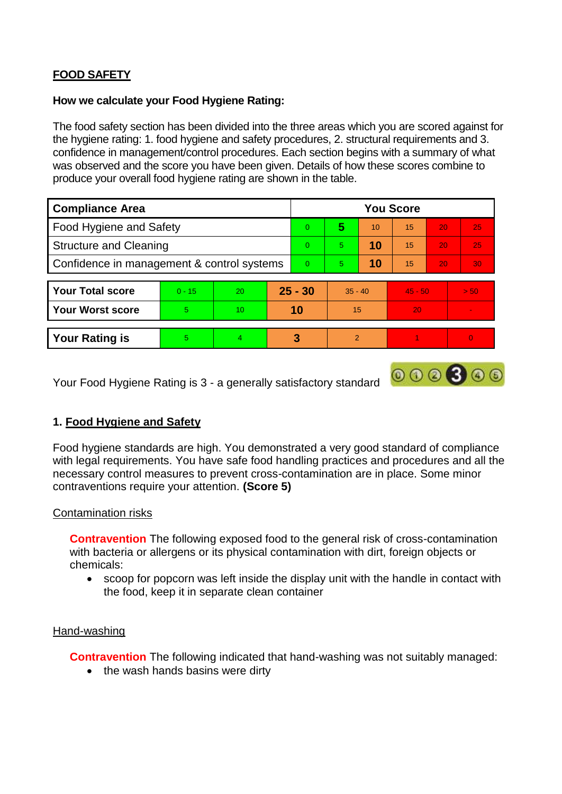## **FOOD SAFETY**

#### **How we calculate your Food Hygiene Rating:**

The food safety section has been divided into the three areas which you are scored against for the hygiene rating: 1. food hygiene and safety procedures, 2. structural requirements and 3. confidence in management/control procedures. Each section begins with a summary of what was observed and the score you have been given. Details of how these scores combine to produce your overall food hygiene rating are shown in the table.

| <b>Compliance Area</b>                     |          |                  |           | <b>You Score</b> |                |    |           |    |                |  |  |
|--------------------------------------------|----------|------------------|-----------|------------------|----------------|----|-----------|----|----------------|--|--|
| Food Hygiene and Safety                    |          |                  | $\Omega$  | 5                | 10             | 15 | 20        | 25 |                |  |  |
| <b>Structure and Cleaning</b>              |          |                  | $\Omega$  | 5                | 10             | 15 | 20        | 25 |                |  |  |
| Confidence in management & control systems |          |                  | $\Omega$  | 5                | 10             | 15 | 20        | 30 |                |  |  |
|                                            |          |                  |           |                  |                |    |           |    |                |  |  |
| <b>Your Total score</b>                    | $0 - 15$ | 20               | $25 - 30$ |                  | $35 - 40$      |    | $45 - 50$ |    | > 50           |  |  |
| <b>Your Worst score</b>                    | 5        | 10 <sup>10</sup> | 10        |                  | 15             |    | 20        |    | $\blacksquare$ |  |  |
|                                            |          |                  |           |                  |                |    |           |    |                |  |  |
| <b>Your Rating is</b>                      | 5        | $\overline{4}$   |           | 3                | $\overline{2}$ |    |           |    |                |  |  |

Your Food Hygiene Rating is 3 - a generally satisfactory standard

## **1. Food Hygiene and Safety**

Food hygiene standards are high. You demonstrated a very good standard of compliance with legal requirements. You have safe food handling practices and procedures and all the necessary control measures to prevent cross-contamination are in place. Some minor contraventions require your attention. **(Score 5)**

 $000000$ 

#### Contamination risks

**Contravention** The following exposed food to the general risk of cross-contamination with bacteria or allergens or its physical contamination with dirt, foreign objects or chemicals:

 scoop for popcorn was left inside the display unit with the handle in contact with the food, keep it in separate clean container

#### Hand-washing

**Contravention** The following indicated that hand-washing was not suitably managed:

• the wash hands basins were dirty